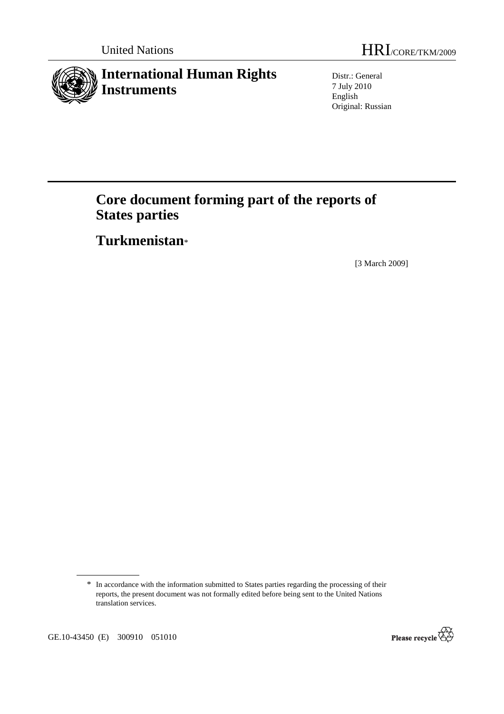

Distr.: General 7 July 2010 English Original: Russian

# **Core document forming part of the reports of States parties**

 **Turkmenistan**\*

[3 March 2009]

GE.10-43450 (E) 300910 051010



<sup>\*</sup> In accordance with the information submitted to States parties regarding the processing of their reports, the present document was not formally edited before being sent to the United Nations translation services.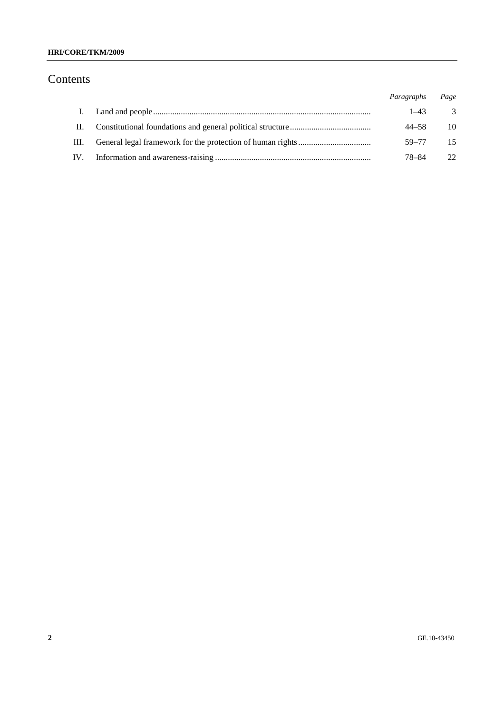## **HRI/CORE/TKM/2009**

## Contents

|              | Paragraphs | Page |
|--------------|------------|------|
| $\mathbf{L}$ | $1 - 43$   | -3   |
| II.          | 44–58      | 10   |
| III.         | 59–77      | -15  |
| IV.          | 78–84      | 22   |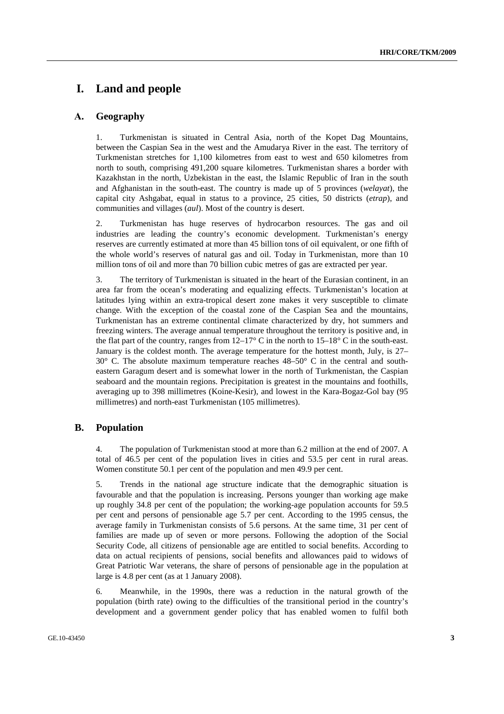## **I. Land and people**

## **А. Geography**

1. Turkmenistan is situated in Central Asia, north of the Kopet Dag Mountains, between the Caspian Sea in the west and the Amudarya River in the east. The territory of Turkmenistan stretches for 1,100 kilometres from east to west and 650 kilometres from north to south, comprising 491,200 square kilometres. Turkmenistan shares a border with Kazakhstan in the north, Uzbekistan in the east, the Islamic Republic of Iran in the south and Afghanistan in the south-east. The country is made up of 5 provinces (*welayat*), the capital city Ashgabat, equal in status to a province, 25 cities, 50 districts (*etrap*), and communities and villages (*aul*). Most of the country is desert.

2. Turkmenistan has huge reserves of hydrocarbon resources. The gas and oil industries are leading the country's economic development. Turkmenistan's energy reserves are currently estimated at more than 45 billion tons of oil equivalent, or one fifth of the whole world's reserves of natural gas and oil. Today in Turkmenistan, more than 10 million tons of oil and more than 70 billion cubic metres of gas are extracted per year.

3. The territory of Turkmenistan is situated in the heart of the Eurasian continent, in an area far from the ocean's moderating and equalizing effects. Turkmenistan's location at latitudes lying within an extra-tropical desert zone makes it very susceptible to climate change. With the exception of the coastal zone of the Caspian Sea and the mountains, Turkmenistan has an extreme continental climate characterized by dry, hot summers and freezing winters. The average annual temperature throughout the territory is positive and, in the flat part of the country, ranges from  $12-17^{\circ}$  C in the north to  $15-18^{\circ}$  C in the south-east. January is the coldest month. The average temperature for the hottest month, July, is 27–  $30^{\circ}$  C. The absolute maximum temperature reaches  $48-50^{\circ}$  C in the central and southeastern Garagum desert and is somewhat lower in the north of Turkmenistan, the Caspian seaboard and the mountain regions. Precipitation is greatest in the mountains and foothills, averaging up to 398 millimetres (Koine-Kesir), and lowest in the Kara-Bogaz-Gol bay (95 millimetres) and north-east Turkmenistan (105 millimetres).

#### **B. Population**

4. The population of Turkmenistan stood at more than 6.2 million at the end of 2007. A total of 46.5 per cent of the population lives in cities and 53.5 per cent in rural areas. Women constitute 50.1 per cent of the population and men 49.9 per cent.

5. Trends in the national age structure indicate that the demographic situation is favourable and that the population is increasing. Persons younger than working age make up roughly 34.8 per cent of the population; the working-age population accounts for 59.5 per cent and persons of pensionable age 5.7 per cent. According to the 1995 census, the average family in Turkmenistan consists of 5.6 persons. At the same time, 31 per cent of families are made up of seven or more persons. Following the adoption of the Social Security Code, all citizens of pensionable age are entitled to social benefits. According to data on actual recipients of pensions, social benefits and allowances paid to widows of Great Patriotic War veterans, the share of persons of pensionable age in the population at large is 4.8 per cent (as at 1 January 2008).

6. Meanwhile, in the 1990s, there was a reduction in the natural growth of the population (birth rate) owing to the difficulties of the transitional period in the country's development and a government gender policy that has enabled women to fulfil both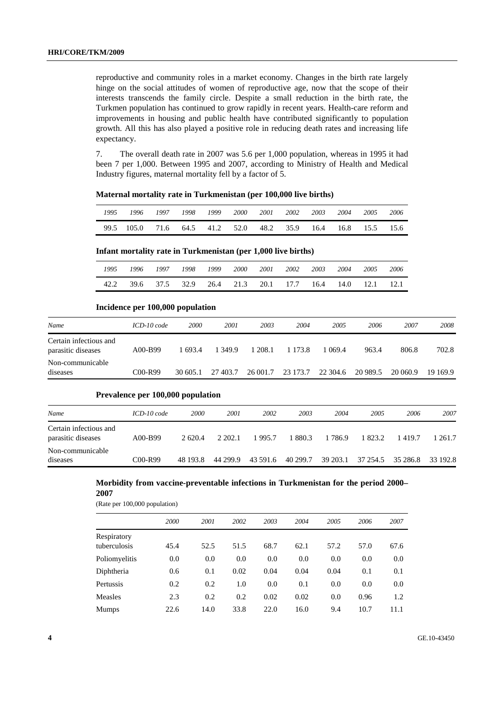reproductive and community roles in a market economy. Changes in the birth rate largely hinge on the social attitudes of women of reproductive age, now that the scope of their interests transcends the family circle. Despite a small reduction in the birth rate, the Turkmen population has continued to grow rapidly in recent years. Health-care reform and improvements in housing and public health have contributed significantly to population growth. All this has also played a positive role in reducing death rates and increasing life expectancy.

7. The overall death rate in 2007 was 5.6 per 1,000 population, whereas in 1995 it had been 7 per 1,000. Between 1995 and 2007, according to Ministry of Health and Medical Industry figures, maternal mortality fell by a factor of 5.

*1995 1996 1997 1998 1999 2000 2001 2002 2003 2004 2005 2006*  99.5 105.0 71.6 64.5 41.2 52.0 48.2 35.9 16.4 16.8 15.5 15.6

#### **Maternal mortality rate in Turkmenistan (per 100,000 live births)**

#### **Infant mortality rate in Turkmenistan (per 1,000 live births)**

| 1995 | 1996 | 1997 | 1998 1999 | 2000 |                                                   | 2001 2002 | 2003 | 2004 | 2005 | 2006 |
|------|------|------|-----------|------|---------------------------------------------------|-----------|------|------|------|------|
| 42.2 |      |      |           |      | 39.6 37.5 32.9 26.4 21.3 20.1 17.7 16.4 14.0 12.1 |           |      |      |      | 12.1 |

#### **Incidence per 100,000 population**

| Name                                         | $ICD-10 code$ | 2000     | 2001     | 2003     | 2004       | 2005     | 2006     | 2007     | 2008     |
|----------------------------------------------|---------------|----------|----------|----------|------------|----------|----------|----------|----------|
| Certain infectious and<br>parasitic diseases | A00-B99       | 1 693.4  | 1 349.9  | 1 208.1  | 1 1 7 3 .8 | 069.4    | 963.4    | 806.8    | 702.8    |
| Non-communicable<br>diseases                 | C00-R99       | 30 605.1 | 27 403.7 | 26 001.7 | 23 173.7   | 22 304.6 | 20 989.5 | 20 060.9 | 19 169.9 |

#### **Prevalence per 100,000 population**

| Name                                         | $ICD-10 code$ | 2000     | 2001     | 2002     | 2003     | 2004     | 2005              | 2006   | 2007     |
|----------------------------------------------|---------------|----------|----------|----------|----------|----------|-------------------|--------|----------|
|                                              |               |          |          |          |          |          |                   |        |          |
| Certain infectious and<br>parasitic diseases | A00-B99       | 2 620.4  | 2 202.1  | 1995.7   | 1 880.3  | 1 786.9  | 1 823.2           | 1419.7 | 1 261.7  |
| Non-communicable<br>diseases                 | $C00-R99$     | 48 193.8 | 44 299.9 | 43 591.6 | 40 299.7 | 39 203.1 | 37 254.5 35 286.8 |        | 33 192.8 |

## **Morbidity from vaccine-preventable infections in Turkmenistan for the period 2000–**

**2007** 

(Rate per 100,000 population)

|                             | 2000 | 2001 | 2002 | 2003 | 2004 | 2005 | 2006 | 2007 |
|-----------------------------|------|------|------|------|------|------|------|------|
| Respiratory<br>tuberculosis | 45.4 | 52.5 | 51.5 | 68.7 | 62.1 | 57.2 | 57.0 | 67.6 |
| Poliomyelitis               | 0.0  | 0.0  | 0.0  | 0.0  | 0.0  | 0.0  | 0.0  | 0.0  |
| Diphtheria                  | 0.6  | 0.1  | 0.02 | 0.04 | 0.04 | 0.04 | 0.1  | 0.1  |
| Pertussis                   | 0.2  | 0.2  | 1.0  | 0.0  | 0.1  | 0.0  | 0.0  | 0.0  |
| Measles                     | 2.3  | 0.2  | 0.2  | 0.02 | 0.02 | 0.0  | 0.96 | 1.2  |
| <b>Mumps</b>                | 22.6 | 14.0 | 33.8 | 22.0 | 16.0 | 9.4  | 10.7 | 11.1 |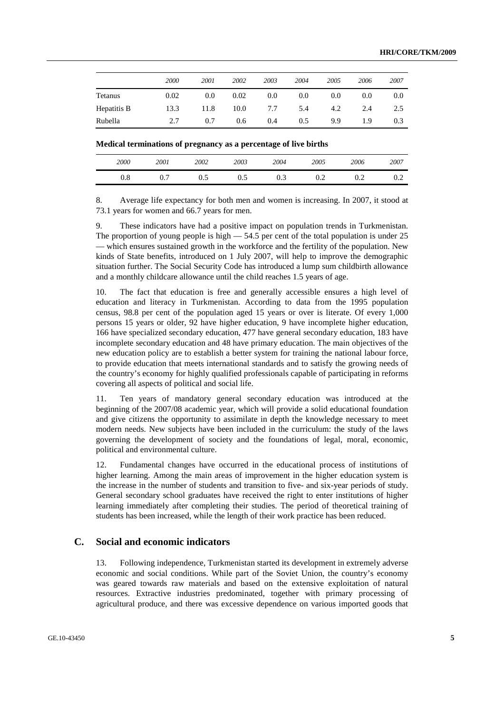|             | 2000 | 2001 | 2002 | 2003 | 2004 | 2005 | 2006 | 2007          |
|-------------|------|------|------|------|------|------|------|---------------|
| Tetanus     | 0.02 | 0.0  | 0.02 | 0.0  | 0.0  | 0.0  | 0.0  | 0.0           |
| Hepatitis B | 13.3 | 11.8 | 10.0 | 7.7  | 5.4  | 4.2  | 2.4  | $2.5^{\circ}$ |
| Rubella     | 2.7  | 0.7  | 0.6  | 0.4  | 0.5  | 9.9  | 1.9  | 0.3           |

| Medical terminations of pregnancy as a percentage of live births |  |  |
|------------------------------------------------------------------|--|--|
|------------------------------------------------------------------|--|--|

| 2000         | 2001     | 2002 | 2003 | 2004 | 2005 | 2006 | 2007            |
|--------------|----------|------|------|------|------|------|-----------------|
| $_{\rm 0.8}$ | −<br>0.7 | U.J  | 0.5  | 0.3  | ∪.∠  | 0.2  | $\cup$ . $\sim$ |

8. Average life expectancy for both men and women is increasing. In 2007, it stood at 73.1 years for women and 66.7 years for men.

9. These indicators have had a positive impact on population trends in Turkmenistan. The proportion of young people is high  $-54.5$  per cent of the total population is under 25 — which ensures sustained growth in the workforce and the fertility of the population. New kinds of State benefits, introduced on 1 July 2007, will help to improve the demographic situation further. The Social Security Code has introduced a lump sum childbirth allowance and a monthly childcare allowance until the child reaches 1.5 years of age.

10. The fact that education is free and generally accessible ensures a high level of education and literacy in Turkmenistan. According to data from the 1995 population census, 98.8 per cent of the population aged 15 years or over is literate. Of every 1,000 persons 15 years or older, 92 have higher education, 9 have incomplete higher education, 166 have specialized secondary education, 477 have general secondary education, 183 have incomplete secondary education and 48 have primary education. The main objectives of the new education policy are to establish a better system for training the national labour force, to provide education that meets international standards and to satisfy the growing needs of the country's economy for highly qualified professionals capable of participating in reforms covering all aspects of political and social life.

11. Ten years of mandatory general secondary education was introduced at the beginning of the 2007/08 academic year, which will provide a solid educational foundation and give citizens the opportunity to assimilate in depth the knowledge necessary to meet modern needs. New subjects have been included in the curriculum: the study of the laws governing the development of society and the foundations of legal, moral, economic, political and environmental culture.

12. Fundamental changes have occurred in the educational process of institutions of higher learning. Among the main areas of improvement in the higher education system is the increase in the number of students and transition to five- and six-year periods of study. General secondary school graduates have received the right to enter institutions of higher learning immediately after completing their studies. The period of theoretical training of students has been increased, while the length of their work practice has been reduced.

### **C. Social and economic indicators**

13. Following independence, Turkmenistan started its development in extremely adverse economic and social conditions. While part of the Soviet Union, the country's economy was geared towards raw materials and based on the extensive exploitation of natural resources. Extractive industries predominated, together with primary processing of agricultural produce, and there was excessive dependence on various imported goods that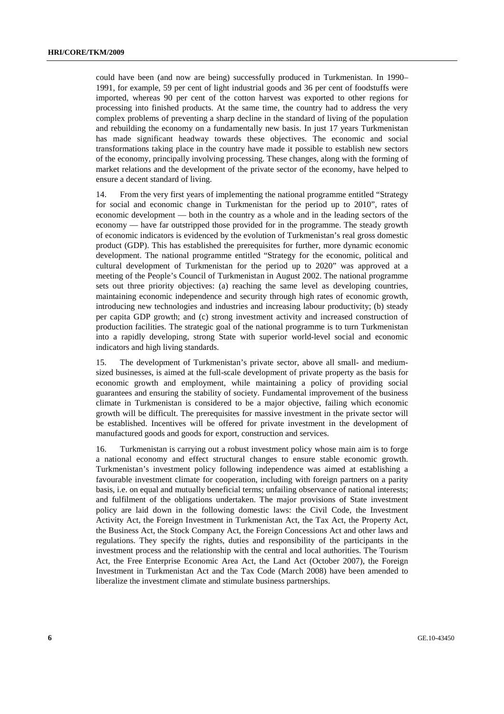could have been (and now are being) successfully produced in Turkmenistan. In 1990– 1991, for example, 59 per cent of light industrial goods and 36 per cent of foodstuffs were imported, whereas 90 per cent of the cotton harvest was exported to other regions for processing into finished products. At the same time, the country had to address the very complex problems of preventing a sharp decline in the standard of living of the population and rebuilding the economy on a fundamentally new basis. In just 17 years Turkmenistan has made significant headway towards these objectives. The economic and social transformations taking place in the country have made it possible to establish new sectors of the economy, principally involving processing. These changes, along with the forming of market relations and the development of the private sector of the economy, have helped to ensure a decent standard of living.

14. From the very first years of implementing the national programme entitled "Strategy for social and economic change in Turkmenistan for the period up to 2010", rates of economic development — both in the country as a whole and in the leading sectors of the economy — have far outstripped those provided for in the programme. The steady growth of economic indicators is evidenced by the evolution of Turkmenistan's real gross domestic product (GDP). This has established the prerequisites for further, more dynamic economic development. The national programme entitled "Strategy for the economic, political and cultural development of Turkmenistan for the period up to 2020" was approved at a meeting of the People's Council of Turkmenistan in August 2002. The national programme sets out three priority objectives: (a) reaching the same level as developing countries, maintaining economic independence and security through high rates of economic growth, introducing new technologies and industries and increasing labour productivity; (b) steady per capita GDP growth; and (c) strong investment activity and increased construction of production facilities. The strategic goal of the national programme is to turn Turkmenistan into a rapidly developing, strong State with superior world-level social and economic indicators and high living standards.

15. The development of Turkmenistan's private sector, above all small- and mediumsized businesses, is aimed at the full-scale development of private property as the basis for economic growth and employment, while maintaining a policy of providing social guarantees and ensuring the stability of society. Fundamental improvement of the business climate in Turkmenistan is considered to be a major objective, failing which economic growth will be difficult. The prerequisites for massive investment in the private sector will be established. Incentives will be offered for private investment in the development of manufactured goods and goods for export, construction and services.

16. Turkmenistan is carrying out a robust investment policy whose main aim is to forge a national economy and effect structural changes to ensure stable economic growth. Turkmenistan's investment policy following independence was aimed at establishing a favourable investment climate for cooperation, including with foreign partners on a parity basis, i.e. on equal and mutually beneficial terms; unfailing observance of national interests; and fulfilment of the obligations undertaken. The major provisions of State investment policy are laid down in the following domestic laws: the Civil Code, the Investment Activity Act, the Foreign Investment in Turkmenistan Act, the Tax Act, the Property Act, the Business Act, the Stock Company Act, the Foreign Concessions Act and other laws and regulations. They specify the rights, duties and responsibility of the participants in the investment process and the relationship with the central and local authorities. The Tourism Act, the Free Enterprise Economic Area Act, the Land Act (October 2007), the Foreign Investment in Turkmenistan Act and the Tax Code (March 2008) have been amended to liberalize the investment climate and stimulate business partnerships.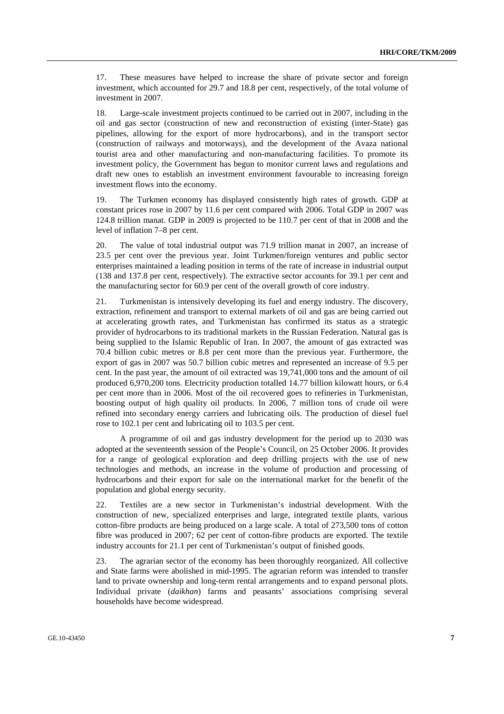17. These measures have helped to increase the share of private sector and foreign investment, which accounted for 29.7 and 18.8 per cent, respectively, of the total volume of investment in 2007.

18. Large-scale investment projects continued to be carried out in 2007, including in the oil and gas sector (construction of new and reconstruction of existing (inter-State) gas pipelines, allowing for the export of more hydrocarbons), and in the transport sector (construction of railways and motorways), and the development of the Avaza national tourist area and other manufacturing and non-manufacturing facilities. To promote its investment policy, the Government has begun to monitor current laws and regulations and draft new ones to establish an investment environment favourable to increasing foreign investment flows into the economy.

19. The Turkmen economy has displayed consistently high rates of growth. GDP at constant prices rose in 2007 by 11.6 per cent compared with 2006. Total GDP in 2007 was 124.8 trillion manat. GDP in 2009 is projected to be 110.7 per cent of that in 2008 and the level of inflation 7–8 per cent.

20. The value of total industrial output was 71.9 trillion manat in 2007, an increase of 23.5 per cent over the previous year. Joint Turkmen/foreign ventures and public sector enterprises maintained a leading position in terms of the rate of increase in industrial output (138 and 137.8 per cent, respectively). The extractive sector accounts for 39.1 per cent and the manufacturing sector for 60.9 per cent of the overall growth of core industry.

21. Turkmenistan is intensively developing its fuel and energy industry. The discovery, extraction, refinement and transport to external markets of oil and gas are being carried out at accelerating growth rates, and Turkmenistan has confirmed its status as a strategic provider of hydrocarbons to its traditional markets in the Russian Federation. Natural gas is being supplied to the Islamic Republic of Iran. In 2007, the amount of gas extracted was 70.4 billion cubic metres or 8.8 per cent more than the previous year. Furthermore, the export of gas in 2007 was 50.7 billion cubic metres and represented an increase of 9.5 per cent. In the past year, the amount of oil extracted was 19,741,000 tons and the amount of oil produced 6,970,200 tons. Electricity production totalled 14.77 billion kilowatt hours, or 6.4 per cent more than in 2006. Most of the oil recovered goes to refineries in Turkmenistan, boosting output of high quality oil products. In 2006, 7 million tons of crude oil were refined into secondary energy carriers and lubricating oils. The production of diesel fuel rose to 102.1 per cent and lubricating oil to 103.5 per cent.

 A programme of oil and gas industry development for the period up to 2030 was adopted at the seventeenth session of the People's Council, on 25 October 2006. It provides for a range of geological exploration and deep drilling projects with the use of new technologies and methods, an increase in the volume of production and processing of hydrocarbons and their export for sale on the international market for the benefit of the population and global energy security.

22. Textiles are a new sector in Turkmenistan's industrial development. With the construction of new, specialized enterprises and large, integrated textile plants, various cotton-fibre products are being produced on a large scale. A total of 273,500 tons of cotton fibre was produced in 2007; 62 per cent of cotton-fibre products are exported. The textile industry accounts for 21.1 per cent of Turkmenistan's output of finished goods.

23. The agrarian sector of the economy has been thoroughly reorganized. All collective and State farms were abolished in mid-1995. The agrarian reform was intended to transfer land to private ownership and long-term rental arrangements and to expand personal plots. Individual private (*daikhan*) farms and peasants' associations comprising several households have become widespread.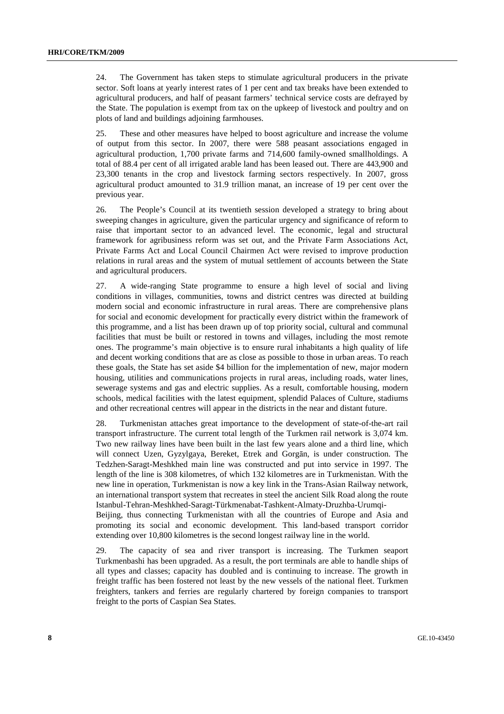24. The Government has taken steps to stimulate agricultural producers in the private sector. Soft loans at yearly interest rates of 1 per cent and tax breaks have been extended to agricultural producers, and half of peasant farmers' technical service costs are defrayed by the State. The population is exempt from tax on the upkeep of livestock and poultry and on plots of land and buildings adjoining farmhouses.

25. These and other measures have helped to boost agriculture and increase the volume of output from this sector. In 2007, there were 588 peasant associations engaged in agricultural production, 1,700 private farms and 714,600 family-owned smallholdings. A total of 88.4 per cent of all irrigated arable land has been leased out. There are 443,900 and 23,300 tenants in the crop and livestock farming sectors respectively. In 2007, gross agricultural product amounted to 31.9 trillion manat, an increase of 19 per cent over the previous year.

26. The People's Council at its twentieth session developed a strategy to bring about sweeping changes in agriculture, given the particular urgency and significance of reform to raise that important sector to an advanced level. The economic, legal and structural framework for agribusiness reform was set out, and the Private Farm Associations Act, Private Farms Act and Local Council Chairmen Act were revised to improve production relations in rural areas and the system of mutual settlement of accounts between the State and agricultural producers.

27. A wide-ranging State programme to ensure a high level of social and living conditions in villages, communities, towns and district centres was directed at building modern social and economic infrastructure in rural areas. There are comprehensive plans for social and economic development for practically every district within the framework of this programme, and a list has been drawn up of top priority social, cultural and communal facilities that must be built or restored in towns and villages, including the most remote ones. The programme's main objective is to ensure rural inhabitants a high quality of life and decent working conditions that are as close as possible to those in urban areas. To reach these goals, the State has set aside \$4 billion for the implementation of new, major modern housing, utilities and communications projects in rural areas, including roads, water lines, sewerage systems and gas and electric supplies. As a result, comfortable housing, modern schools, medical facilities with the latest equipment, splendid Palaces of Culture, stadiums and other recreational centres will appear in the districts in the near and distant future.

28. Turkmenistan attaches great importance to the development of state-of-the-art rail transport infrastructure. The current total length of the Turkmen rail network is 3,074 km. Two new railway lines have been built in the last few years alone and a third line, which will connect Uzen, Gyzylgaya, Bereket, Etrek and Gorgān, is under construction. The Tedzhen-Saragt-Meshkhed main line was constructed and put into service in 1997. The length of the line is 308 kilometres, of which 132 kilometres are in Turkmenistan. With the new line in operation, Turkmenistan is now a key link in the Trans-Asian Railway network, an international transport system that recreates in steel the ancient Silk Road along the route Istanbul-Tehran-Meshkhed-Saragt-Türkmenabat-Tashkent-Almaty-Druzhba-Urumqi-

Beijing, thus connecting Turkmenistan with all the countries of Europe and Asia and promoting its social and economic development. This land-based transport corridor extending over 10,800 kilometres is the second longest railway line in the world.

29. The capacity of sea and river transport is increasing. The Turkmen seaport Turkmenbashi has been upgraded. As a result, the port terminals are able to handle ships of all types and classes; capacity has doubled and is continuing to increase. The growth in freight traffic has been fostered not least by the new vessels of the national fleet. Turkmen freighters, tankers and ferries are regularly chartered by foreign companies to transport freight to the ports of Caspian Sea States.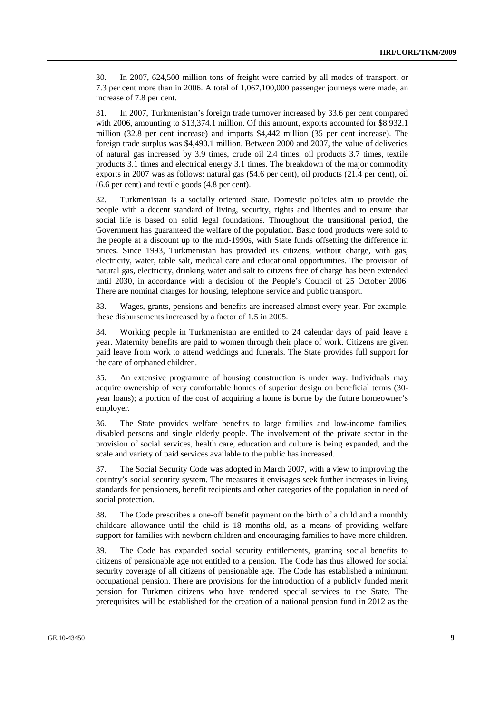30. In 2007, 624,500 million tons of freight were carried by all modes of transport, or 7.3 per cent more than in 2006. A total of 1,067,100,000 passenger journeys were made, an increase of 7.8 per cent.

31. In 2007, Turkmenistan's foreign trade turnover increased by 33.6 per cent compared with 2006, amounting to \$13,374.1 million. Of this amount, exports accounted for \$8,932.1 million (32.8 per cent increase) and imports \$4,442 million (35 per cent increase). The foreign trade surplus was \$4,490.1 million. Between 2000 and 2007, the value of deliveries of natural gas increased by 3.9 times, crude oil 2.4 times, oil products 3.7 times, textile products 3.1 times and electrical energy 3.1 times. The breakdown of the major commodity exports in 2007 was as follows: natural gas (54.6 per cent), oil products (21.4 per cent), oil (6.6 per cent) and textile goods (4.8 per cent).

32. Turkmenistan is a socially oriented State. Domestic policies aim to provide the people with a decent standard of living, security, rights and liberties and to ensure that social life is based on solid legal foundations. Throughout the transitional period, the Government has guaranteed the welfare of the population. Basic food products were sold to the people at a discount up to the mid-1990s, with State funds offsetting the difference in prices. Since 1993, Turkmenistan has provided its citizens, without charge, with gas, electricity, water, table salt, medical care and educational opportunities. The provision of natural gas, electricity, drinking water and salt to citizens free of charge has been extended until 2030, in accordance with a decision of the People's Council of 25 October 2006. There are nominal charges for housing, telephone service and public transport.

33. Wages, grants, pensions and benefits are increased almost every year. For example, these disbursements increased by a factor of 1.5 in 2005.

34. Working people in Turkmenistan are entitled to 24 calendar days of paid leave a year. Maternity benefits are paid to women through their place of work. Citizens are given paid leave from work to attend weddings and funerals. The State provides full support for the care of orphaned children.

35. An extensive programme of housing construction is under way. Individuals may acquire ownership of very comfortable homes of superior design on beneficial terms (30 year loans); a portion of the cost of acquiring a home is borne by the future homeowner's employer.

36. The State provides welfare benefits to large families and low-income families, disabled persons and single elderly people. The involvement of the private sector in the provision of social services, health care, education and culture is being expanded, and the scale and variety of paid services available to the public has increased.

37. The Social Security Code was adopted in March 2007, with a view to improving the country's social security system. The measures it envisages seek further increases in living standards for pensioners, benefit recipients and other categories of the population in need of social protection.

38. The Code prescribes a one-off benefit payment on the birth of a child and a monthly childcare allowance until the child is 18 months old, as a means of providing welfare support for families with newborn children and encouraging families to have more children.

39. The Code has expanded social security entitlements, granting social benefits to citizens of pensionable age not entitled to a pension. The Code has thus allowed for social security coverage of all citizens of pensionable age. The Code has established a minimum occupational pension. There are provisions for the introduction of a publicly funded merit pension for Turkmen citizens who have rendered special services to the State. The prerequisites will be established for the creation of a national pension fund in 2012 as the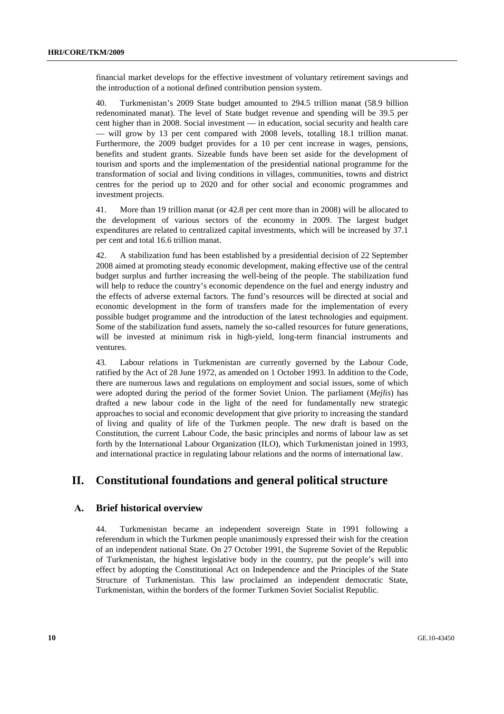financial market develops for the effective investment of voluntary retirement savings and the introduction of a notional defined contribution pension system.

40. Turkmenistan's 2009 State budget amounted to 294.5 trillion manat (58.9 billion redenominated manat). The level of State budget revenue and spending will be 39.5 per cent higher than in 2008. Social investment — in education, social security and health care — will grow by 13 per cent compared with 2008 levels, totalling 18.1 trillion manat. Furthermore, the 2009 budget provides for a 10 per cent increase in wages, pensions, benefits and student grants. Sizeable funds have been set aside for the development of tourism and sports and the implementation of the presidential national programme for the transformation of social and living conditions in villages, communities, towns and district centres for the period up to 2020 and for other social and economic programmes and investment projects.

41. More than 19 trillion manat (or 42.8 per cent more than in 2008) will be allocated to the development of various sectors of the economy in 2009. The largest budget expenditures are related to centralized capital investments, which will be increased by 37.1 per cent and total 16.6 trillion manat.

42. A stabilization fund has been established by a presidential decision of 22 September 2008 aimed at promoting steady economic development, making effective use of the central budget surplus and further increasing the well-being of the people. The stabilization fund will help to reduce the country's economic dependence on the fuel and energy industry and the effects of adverse external factors. The fund's resources will be directed at social and economic development in the form of transfers made for the implementation of every possible budget programme and the introduction of the latest technologies and equipment. Some of the stabilization fund assets, namely the so-called resources for future generations, will be invested at minimum risk in high-yield, long-term financial instruments and ventures.

43. Labour relations in Turkmenistan are currently governed by the Labour Code, ratified by the Act of 28 June 1972, as amended on 1 October 1993. In addition to the Code, there are numerous laws and regulations on employment and social issues, some of which were adopted during the period of the former Soviet Union. The parliament (*Mejlis*) has drafted a new labour code in the light of the need for fundamentally new strategic approaches to social and economic development that give priority to increasing the standard of living and quality of life of the Turkmen people. The new draft is based on the Constitution, the current Labour Code, the basic principles and norms of labour law as set forth by the International Labour Organization (ILO), which Turkmenistan joined in 1993, and international practice in regulating labour relations and the norms of international law.

## **II. Constitutional foundations and general political structure**

## **А. Brief historical overview**

44. Turkmenistan became an independent sovereign State in 1991 following a referendum in which the Turkmen people unanimously expressed their wish for the creation of an independent national State. On 27 October 1991, the Supreme Soviet of the Republic of Turkmenistan, the highest legislative body in the country, put the people's will into effect by adopting the Constitutional Act on Independence and the Principles of the State Structure of Turkmenistan. This law proclaimed an independent democratic State, Turkmenistan, within the borders of the former Turkmen Soviet Socialist Republic.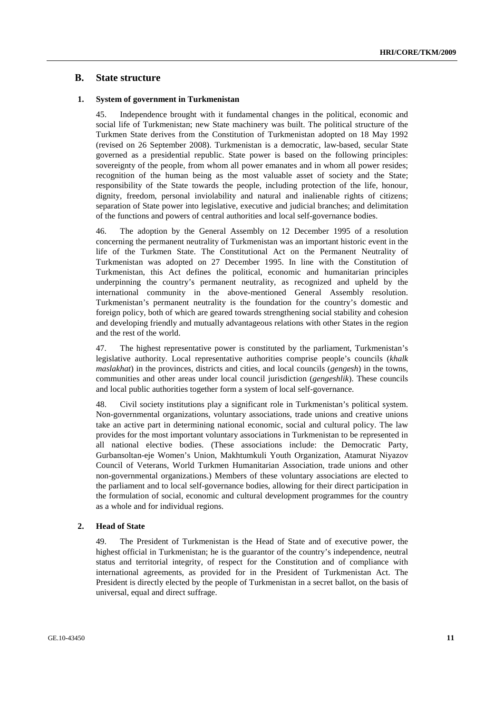### **В. State structure**

#### **1. System of government in Turkmenistan**

45. Independence brought with it fundamental changes in the political, economic and social life of Turkmenistan; new State machinery was built. The political structure of the Turkmen State derives from the Constitution of Turkmenistan adopted on 18 May 1992 (revised on 26 September 2008). Turkmenistan is a democratic, law-based, secular State governed as a presidential republic. State power is based on the following principles: sovereignty of the people, from whom all power emanates and in whom all power resides; recognition of the human being as the most valuable asset of society and the State; responsibility of the State towards the people, including protection of the life, honour, dignity, freedom, personal inviolability and natural and inalienable rights of citizens; separation of State power into legislative, executive and judicial branches; and delimitation of the functions and powers of central authorities and local self-governance bodies.

46. The adoption by the General Assembly on 12 December 1995 of a resolution concerning the permanent neutrality of Turkmenistan was an important historic event in the life of the Turkmen State. The Constitutional Act on the Permanent Neutrality of Turkmenistan was adopted on 27 December 1995. In line with the Constitution of Turkmenistan, this Act defines the political, economic and humanitarian principles underpinning the country's permanent neutrality, as recognized and upheld by the international community in the above-mentioned General Assembly resolution. Turkmenistan's permanent neutrality is the foundation for the country's domestic and foreign policy, both of which are geared towards strengthening social stability and cohesion and developing friendly and mutually advantageous relations with other States in the region and the rest of the world.

47. The highest representative power is constituted by the parliament, Turkmenistan's legislative authority. Local representative authorities comprise people's councils (*khalk maslakhat*) in the provinces, districts and cities, and local councils (*gengesh*) in the towns, communities and other areas under local council jurisdiction (*gengeshlik*). These councils and local public authorities together form a system of local self-governance.

48. Civil society institutions play a significant role in Turkmenistan's political system. Non-governmental organizations, voluntary associations, trade unions and creative unions take an active part in determining national economic, social and cultural policy. The law provides for the most important voluntary associations in Turkmenistan to be represented in all national elective bodies. (These associations include: the Democratic Party, Gurbansoltan-eje Women's Union, Makhtumkuli Youth Organization, Atamurat Niyazov Council of Veterans, World Turkmen Humanitarian Association, trade unions and other non-governmental organizations.) Members of these voluntary associations are elected to the parliament and to local self-governance bodies, allowing for their direct participation in the formulation of social, economic and cultural development programmes for the country as a whole and for individual regions.

#### **2. Head of State**

49. The President of Turkmenistan is the Head of State and of executive power, the highest official in Turkmenistan; he is the guarantor of the country's independence, neutral status and territorial integrity, of respect for the Constitution and of compliance with international agreements, as provided for in the President of Turkmenistan Act. The President is directly elected by the people of Turkmenistan in a secret ballot, on the basis of universal, equal and direct suffrage.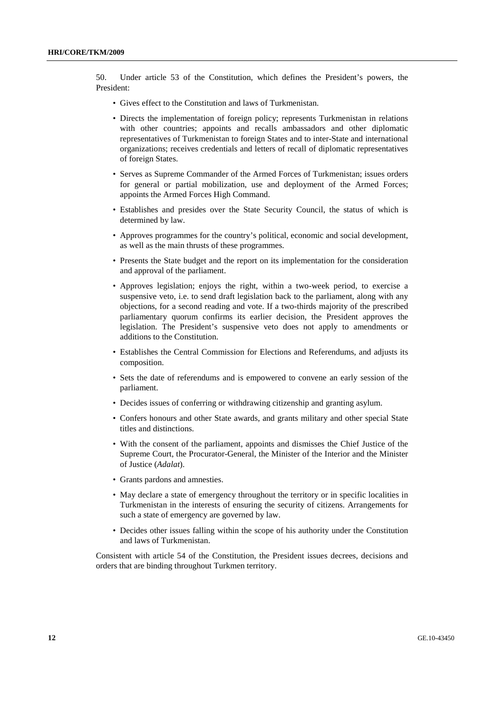50. Under article 53 of the Constitution, which defines the President's powers, the President:

- Gives effect to the Constitution and laws of Turkmenistan.
- Directs the implementation of foreign policy; represents Turkmenistan in relations with other countries; appoints and recalls ambassadors and other diplomatic representatives of Turkmenistan to foreign States and to inter-State and international organizations; receives credentials and letters of recall of diplomatic representatives of foreign States.
- Serves as Supreme Commander of the Armed Forces of Turkmenistan; issues orders for general or partial mobilization, use and deployment of the Armed Forces; appoints the Armed Forces High Command.
- Establishes and presides over the State Security Council, the status of which is determined by law.
- Approves programmes for the country's political, economic and social development, as well as the main thrusts of these programmes.
- Presents the State budget and the report on its implementation for the consideration and approval of the parliament.
- Approves legislation; enjoys the right, within a two-week period, to exercise a suspensive veto, i.e. to send draft legislation back to the parliament, along with any objections, for a second reading and vote. If a two-thirds majority of the prescribed parliamentary quorum confirms its earlier decision, the President approves the legislation. The President's suspensive veto does not apply to amendments or additions to the Constitution.
- Establishes the Central Commission for Elections and Referendums, and adjusts its composition.
- Sets the date of referendums and is empowered to convene an early session of the parliament.
- Decides issues of conferring or withdrawing citizenship and granting asylum.
- Confers honours and other State awards, and grants military and other special State titles and distinctions.
- With the consent of the parliament, appoints and dismisses the Chief Justice of the Supreme Court, the Procurator-General, the Minister of the Interior and the Minister of Justice (*Adalat*).
- Grants pardons and amnesties.
- May declare a state of emergency throughout the territory or in specific localities in Turkmenistan in the interests of ensuring the security of citizens. Arrangements for such a state of emergency are governed by law.
- Decides other issues falling within the scope of his authority under the Constitution and laws of Turkmenistan.

Consistent with article 54 of the Constitution, the President issues decrees, decisions and orders that are binding throughout Turkmen territory.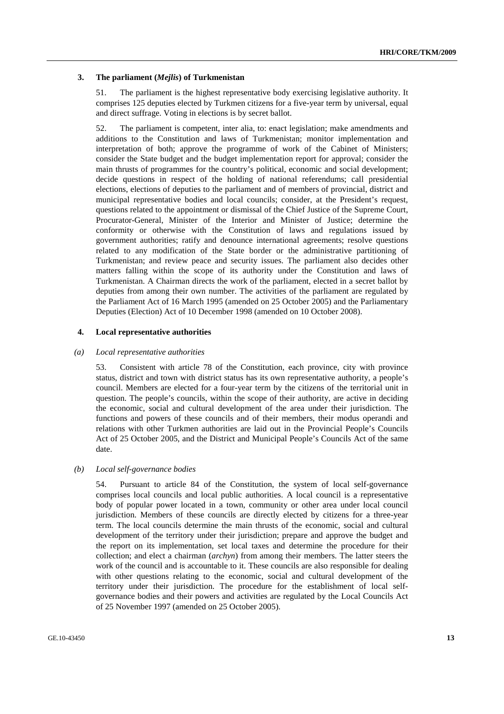#### **3. The parliament (***Mejlis***) of Turkmenistan**

51. The parliament is the highest representative body exercising legislative authority. It comprises 125 deputies elected by Turkmen citizens for a five-year term by universal, equal and direct suffrage. Voting in elections is by secret ballot.

52. The parliament is competent, inter alia, to: enact legislation; make amendments and additions to the Constitution and laws of Turkmenistan; monitor implementation and interpretation of both; approve the programme of work of the Cabinet of Ministers; consider the State budget and the budget implementation report for approval; consider the main thrusts of programmes for the country's political, economic and social development; decide questions in respect of the holding of national referendums; call presidential elections, elections of deputies to the parliament and of members of provincial, district and municipal representative bodies and local councils; consider, at the President's request, questions related to the appointment or dismissal of the Chief Justice of the Supreme Court, Procurator-General, Minister of the Interior and Minister of Justice; determine the conformity or otherwise with the Constitution of laws and regulations issued by government authorities; ratify and denounce international agreements; resolve questions related to any modification of the State border or the administrative partitioning of Turkmenistan; and review peace and security issues. The parliament also decides other matters falling within the scope of its authority under the Constitution and laws of Turkmenistan. A Chairman directs the work of the parliament, elected in a secret ballot by deputies from among their own number. The activities of the parliament are regulated by the Parliament Act of 16 March 1995 (amended on 25 October 2005) and the Parliamentary Deputies (Election) Act of 10 December 1998 (amended on 10 October 2008).

#### **4. Local representative authorities**

#### *(a) Local representative authorities*

53. Consistent with article 78 of the Constitution, each province, city with province status, district and town with district status has its own representative authority, a people's council. Members are elected for a four-year term by the citizens of the territorial unit in question. The people's councils, within the scope of their authority, are active in deciding the economic, social and cultural development of the area under their jurisdiction. The functions and powers of these councils and of their members, their modus operandi and relations with other Turkmen authorities are laid out in the Provincial People's Councils Act of 25 October 2005, and the District and Municipal People's Councils Act of the same date.

#### *(b) Local self-governance bodies*

54. Pursuant to article 84 of the Constitution, the system of local self-governance comprises local councils and local public authorities. A local council is a representative body of popular power located in a town, community or other area under local council jurisdiction. Members of these councils are directly elected by citizens for a three-year term. The local councils determine the main thrusts of the economic, social and cultural development of the territory under their jurisdiction; prepare and approve the budget and the report on its implementation, set local taxes and determine the procedure for their collection; and elect a chairman (*archyn*) from among their members. The latter steers the work of the council and is accountable to it. These councils are also responsible for dealing with other questions relating to the economic, social and cultural development of the territory under their jurisdiction. The procedure for the establishment of local selfgovernance bodies and their powers and activities are regulated by the Local Councils Act of 25 November 1997 (amended on 25 October 2005).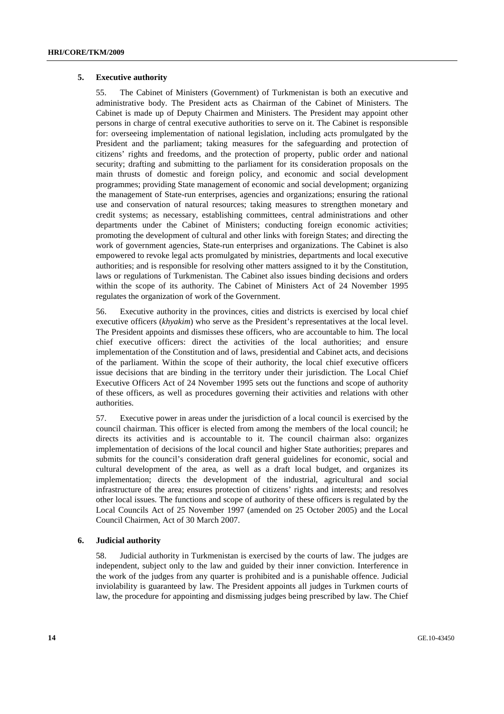#### **5. Executive authority**

55. The Cabinet of Ministers (Government) of Turkmenistan is both an executive and administrative body. The President acts as Chairman of the Cabinet of Ministers. The Cabinet is made up of Deputy Chairmen and Ministers. The President may appoint other persons in charge of central executive authorities to serve on it. The Cabinet is responsible for: overseeing implementation of national legislation, including acts promulgated by the President and the parliament; taking measures for the safeguarding and protection of citizens' rights and freedoms, and the protection of property, public order and national security; drafting and submitting to the parliament for its consideration proposals on the main thrusts of domestic and foreign policy, and economic and social development programmes; providing State management of economic and social development; organizing the management of State-run enterprises, agencies and organizations; ensuring the rational use and conservation of natural resources; taking measures to strengthen monetary and credit systems; as necessary, establishing committees, central administrations and other departments under the Cabinet of Ministers; conducting foreign economic activities; promoting the development of cultural and other links with foreign States; and directing the work of government agencies, State-run enterprises and organizations. The Cabinet is also empowered to revoke legal acts promulgated by ministries, departments and local executive authorities; and is responsible for resolving other matters assigned to it by the Constitution, laws or regulations of Turkmenistan. The Cabinet also issues binding decisions and orders within the scope of its authority. The Cabinet of Ministers Act of 24 November 1995 regulates the organization of work of the Government.

56. Executive authority in the provinces, cities and districts is exercised by local chief executive officers (*khyakim*) who serve as the President's representatives at the local level. The President appoints and dismisses these officers, who are accountable to him. The local chief executive officers: direct the activities of the local authorities; and ensure implementation of the Constitution and of laws, presidential and Cabinet acts, and decisions of the parliament. Within the scope of their authority, the local chief executive officers issue decisions that are binding in the territory under their jurisdiction. The Local Chief Executive Officers Act of 24 November 1995 sets out the functions and scope of authority of these officers, as well as procedures governing their activities and relations with other authorities.

57. Executive power in areas under the jurisdiction of a local council is exercised by the council chairman. This officer is elected from among the members of the local council; he directs its activities and is accountable to it. The council chairman also: organizes implementation of decisions of the local council and higher State authorities; prepares and submits for the council's consideration draft general guidelines for economic, social and cultural development of the area, as well as a draft local budget, and organizes its implementation; directs the development of the industrial, agricultural and social infrastructure of the area; ensures protection of citizens' rights and interests; and resolves other local issues. The functions and scope of authority of these officers is regulated by the Local Councils Act of 25 November 1997 (amended on 25 October 2005) and the Local Council Chairmen, Act of 30 March 2007.

#### **6. Judicial authority**

58. Judicial authority in Turkmenistan is exercised by the courts of law. The judges are independent, subject only to the law and guided by their inner conviction. Interference in the work of the judges from any quarter is prohibited and is a punishable offence. Judicial inviolability is guaranteed by law. The President appoints all judges in Turkmen courts of law, the procedure for appointing and dismissing judges being prescribed by law. The Chief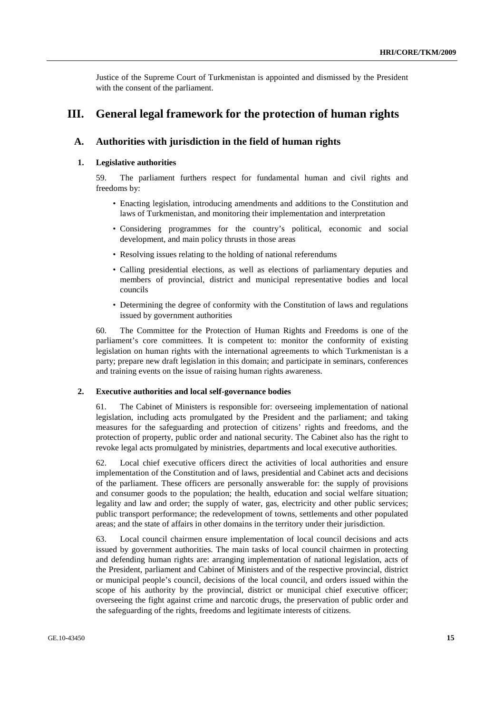Justice of the Supreme Court of Turkmenistan is appointed and dismissed by the President with the consent of the parliament.

## **III. General legal framework for the protection of human rights**

## **A. Authorities with jurisdiction in the field of human rights**

## **1. Legislative authorities**

59. The parliament furthers respect for fundamental human and civil rights and freedoms by:

- Enacting legislation, introducing amendments and additions to the Constitution and laws of Turkmenistan, and monitoring their implementation and interpretation
- Considering programmes for the country's political, economic and social development, and main policy thrusts in those areas
- Resolving issues relating to the holding of national referendums
- Calling presidential elections, as well as elections of parliamentary deputies and members of provincial, district and municipal representative bodies and local councils
- Determining the degree of conformity with the Constitution of laws and regulations issued by government authorities

60. The Committee for the Protection of Human Rights and Freedoms is one of the parliament's core committees. It is competent to: monitor the conformity of existing legislation on human rights with the international agreements to which Turkmenistan is a party; prepare new draft legislation in this domain; and participate in seminars, conferences and training events on the issue of raising human rights awareness.

#### **2. Executive authorities and local self-governance bodies**

61. The Cabinet of Ministers is responsible for: overseeing implementation of national legislation, including acts promulgated by the President and the parliament; and taking measures for the safeguarding and protection of citizens' rights and freedoms, and the protection of property, public order and national security. The Cabinet also has the right to revoke legal acts promulgated by ministries, departments and local executive authorities.

62. Local chief executive officers direct the activities of local authorities and ensure implementation of the Constitution and of laws, presidential and Cabinet acts and decisions of the parliament. These officers are personally answerable for: the supply of provisions and consumer goods to the population; the health, education and social welfare situation; legality and law and order; the supply of water, gas, electricity and other public services; public transport performance; the redevelopment of towns, settlements and other populated areas; and the state of affairs in other domains in the territory under their jurisdiction.

63. Local council chairmen ensure implementation of local council decisions and acts issued by government authorities. The main tasks of local council chairmen in protecting and defending human rights are: arranging implementation of national legislation, acts of the President, parliament and Cabinet of Ministers and of the respective provincial, district or municipal people's council, decisions of the local council, and orders issued within the scope of his authority by the provincial, district or municipal chief executive officer; overseeing the fight against crime and narcotic drugs, the preservation of public order and the safeguarding of the rights, freedoms and legitimate interests of citizens.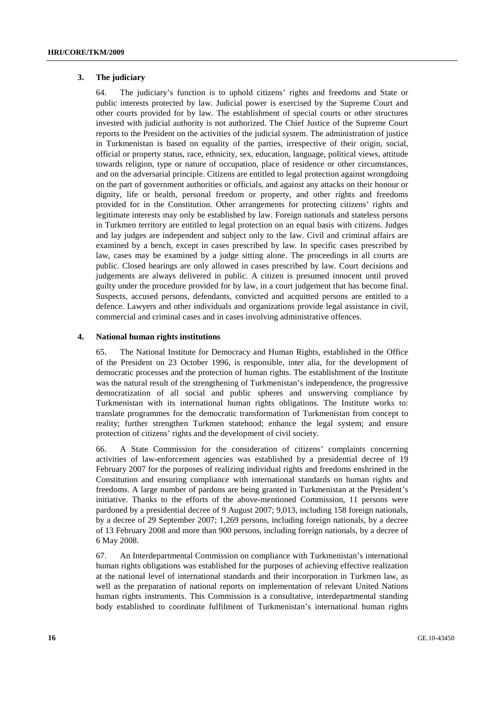#### **3. The judiciary**

64. The judiciary's function is to uphold citizens' rights and freedoms and State or public interests protected by law. Judicial power is exercised by the Supreme Court and other courts provided for by law. The establishment of special courts or other structures invested with judicial authority is not authorized. The Chief Justice of the Supreme Court reports to the President on the activities of the judicial system. The administration of justice in Turkmenistan is based on equality of the parties, irrespective of their origin, social, official or property status, race, ethnicity, sex, education, language, political views, attitude towards religion, type or nature of occupation, place of residence or other circumstances, and on the adversarial principle. Citizens are entitled to legal protection against wrongdoing on the part of government authorities or officials, and against any attacks on their honour or dignity, life or health, personal freedom or property, and other rights and freedoms provided for in the Constitution. Other arrangements for protecting citizens' rights and legitimate interests may only be established by law. Foreign nationals and stateless persons in Turkmen territory are entitled to legal protection on an equal basis with citizens. Judges and lay judges are independent and subject only to the law. Civil and criminal affairs are examined by a bench, except in cases prescribed by law. In specific cases prescribed by law, cases may be examined by a judge sitting alone. The proceedings in all courts are public. Closed hearings are only allowed in cases prescribed by law. Court decisions and judgements are always delivered in public. A citizen is presumed innocent until proved guilty under the procedure provided for by law, in a court judgement that has become final. Suspects, accused persons, defendants, convicted and acquitted persons are entitled to a defence. Lawyers and other individuals and organizations provide legal assistance in civil, commercial and criminal cases and in cases involving administrative offences.

#### **4. National human rights institutions**

65. The National Institute for Democracy and Human Rights, established in the Office of the President on 23 October 1996, is responsible, inter alia, for the development of democratic processes and the protection of human rights. The establishment of the Institute was the natural result of the strengthening of Turkmenistan's independence, the progressive democratization of all social and public spheres and unswerving compliance by Turkmenistan with its international human rights obligations. The Institute works to: translate programmes for the democratic transformation of Turkmenistan from concept to reality; further strengthen Turkmen statehood; enhance the legal system; and ensure protection of citizens' rights and the development of civil society.

66. A State Commission for the consideration of citizens' complaints concerning activities of law-enforcement agencies was established by a presidential decree of 19 February 2007 for the purposes of realizing individual rights and freedoms enshrined in the Constitution and ensuring compliance with international standards on human rights and freedoms. A large number of pardons are being granted in Turkmenistan at the President's initiative. Thanks to the efforts of the above-mentioned Commission, 11 persons were pardoned by a presidential decree of 9 August 2007; 9,013, including 158 foreign nationals, by a decree of 29 September 2007; 1,269 persons, including foreign nationals, by a decree of 13 February 2008 and more than 900 persons, including foreign nationals, by a decree of 6 May 2008.

67. An Interdepartmental Commission on compliance with Turkmenistan's international human rights obligations was established for the purposes of achieving effective realization at the national level of international standards and their incorporation in Turkmen law, as well as the preparation of national reports on implementation of relevant United Nations human rights instruments. This Commission is a consultative, interdepartmental standing body established to coordinate fulfilment of Turkmenistan's international human rights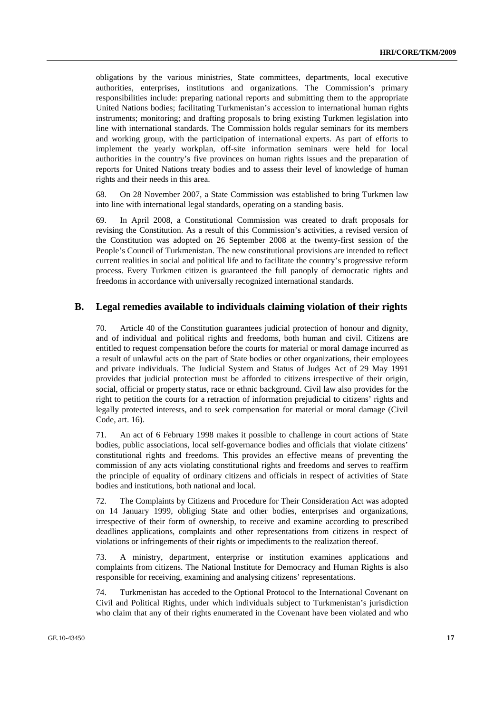obligations by the various ministries, State committees, departments, local executive authorities, enterprises, institutions and organizations. The Commission's primary responsibilities include: preparing national reports and submitting them to the appropriate United Nations bodies; facilitating Turkmenistan's accession to international human rights instruments; monitoring; and drafting proposals to bring existing Turkmen legislation into line with international standards. The Commission holds regular seminars for its members and working group, with the participation of international experts. As part of efforts to implement the yearly workplan, off-site information seminars were held for local authorities in the country's five provinces on human rights issues and the preparation of reports for United Nations treaty bodies and to assess their level of knowledge of human rights and their needs in this area.

68. On 28 November 2007, a State Commission was established to bring Turkmen law into line with international legal standards, operating on a standing basis.

69. In April 2008, a Constitutional Commission was created to draft proposals for revising the Constitution. As a result of this Commission's activities, a revised version of the Constitution was adopted on 26 September 2008 at the twenty-first session of the People's Council of Turkmenistan. The new constitutional provisions are intended to reflect current realities in social and political life and to facilitate the country's progressive reform process. Every Turkmen citizen is guaranteed the full panoply of democratic rights and freedoms in accordance with universally recognized international standards.

### **B. Legal remedies available to individuals claiming violation of their rights**

70. Article 40 of the Constitution guarantees judicial protection of honour and dignity, and of individual and political rights and freedoms, both human and civil. Citizens are entitled to request compensation before the courts for material or moral damage incurred as a result of unlawful acts on the part of State bodies or other organizations, their employees and private individuals. The Judicial System and Status of Judges Act of 29 May 1991 provides that judicial protection must be afforded to citizens irrespective of their origin, social, official or property status, race or ethnic background. Civil law also provides for the right to petition the courts for a retraction of information prejudicial to citizens' rights and legally protected interests, and to seek compensation for material or moral damage (Civil Code, art. 16).

71. An act of 6 February 1998 makes it possible to challenge in court actions of State bodies, public associations, local self-governance bodies and officials that violate citizens' constitutional rights and freedoms. This provides an effective means of preventing the commission of any acts violating constitutional rights and freedoms and serves to reaffirm the principle of equality of ordinary citizens and officials in respect of activities of State bodies and institutions, both national and local.

72. The Complaints by Citizens and Procedure for Their Consideration Act was adopted on 14 January 1999, obliging State and other bodies, enterprises and organizations, irrespective of their form of ownership, to receive and examine according to prescribed deadlines applications, complaints and other representations from citizens in respect of violations or infringements of their rights or impediments to the realization thereof.

73. A ministry, department, enterprise or institution examines applications and complaints from citizens. The National Institute for Democracy and Human Rights is also responsible for receiving, examining and analysing citizens' representations.

74. Turkmenistan has acceded to the Optional Protocol to the International Covenant on Civil and Political Rights, under which individuals subject to Turkmenistan's jurisdiction who claim that any of their rights enumerated in the Covenant have been violated and who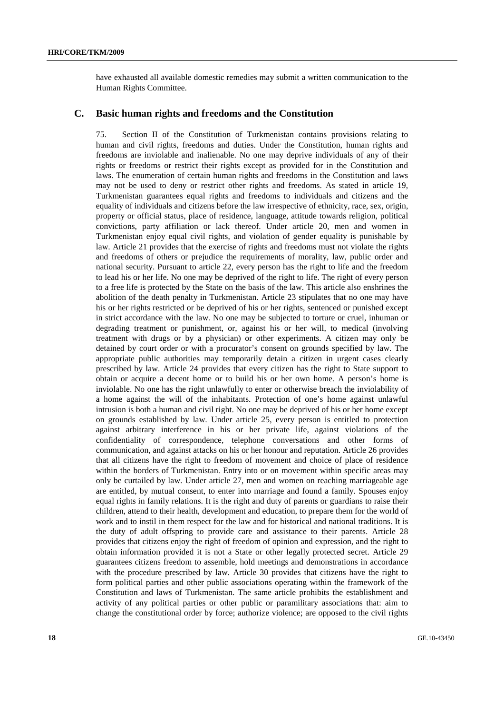have exhausted all available domestic remedies may submit a written communication to the Human Rights Committee.

#### **C. Basic human rights and freedoms and the Constitution**

75. Section II of the Constitution of Turkmenistan contains provisions relating to human and civil rights, freedoms and duties. Under the Constitution, human rights and freedoms are inviolable and inalienable. No one may deprive individuals of any of their rights or freedoms or restrict their rights except as provided for in the Constitution and laws. The enumeration of certain human rights and freedoms in the Constitution and laws may not be used to deny or restrict other rights and freedoms. As stated in article 19, Turkmenistan guarantees equal rights and freedoms to individuals and citizens and the equality of individuals and citizens before the law irrespective of ethnicity, race, sex, origin, property or official status, place of residence, language, attitude towards religion, political convictions, party affiliation or lack thereof. Under article 20, men and women in Turkmenistan enjoy equal civil rights, and violation of gender equality is punishable by law. Article 21 provides that the exercise of rights and freedoms must not violate the rights and freedoms of others or prejudice the requirements of morality, law, public order and national security. Pursuant to article 22, every person has the right to life and the freedom to lead his or her life. No one may be deprived of the right to life. The right of every person to a free life is protected by the State on the basis of the law. This article also enshrines the abolition of the death penalty in Turkmenistan. Article 23 stipulates that no one may have his or her rights restricted or be deprived of his or her rights, sentenced or punished except in strict accordance with the law. No one may be subjected to torture or cruel, inhuman or degrading treatment or punishment, or, against his or her will, to medical (involving treatment with drugs or by a physician) or other experiments. A citizen may only be detained by court order or with a procurator's consent on grounds specified by law. The appropriate public authorities may temporarily detain a citizen in urgent cases clearly prescribed by law. Article 24 provides that every citizen has the right to State support to obtain or acquire a decent home or to build his or her own home. A person's home is inviolable. No one has the right unlawfully to enter or otherwise breach the inviolability of a home against the will of the inhabitants. Protection of one's home against unlawful intrusion is both a human and civil right. No one may be deprived of his or her home except on grounds established by law. Under article 25, every person is entitled to protection against arbitrary interference in his or her private life, against violations of the confidentiality of correspondence, telephone conversations and other forms of communication, and against attacks on his or her honour and reputation. Article 26 provides that all citizens have the right to freedom of movement and choice of place of residence within the borders of Turkmenistan. Entry into or on movement within specific areas may only be curtailed by law. Under article 27, men and women on reaching marriageable age are entitled, by mutual consent, to enter into marriage and found a family. Spouses enjoy equal rights in family relations. It is the right and duty of parents or guardians to raise their children, attend to their health, development and education, to prepare them for the world of work and to instil in them respect for the law and for historical and national traditions. It is the duty of adult offspring to provide care and assistance to their parents. Article 28 provides that citizens enjoy the right of freedom of opinion and expression, and the right to obtain information provided it is not a State or other legally protected secret. Article 29 guarantees citizens freedom to assemble, hold meetings and demonstrations in accordance with the procedure prescribed by law. Article 30 provides that citizens have the right to form political parties and other public associations operating within the framework of the Constitution and laws of Turkmenistan. The same article prohibits the establishment and activity of any political parties or other public or paramilitary associations that: aim to change the constitutional order by force; authorize violence; are opposed to the civil rights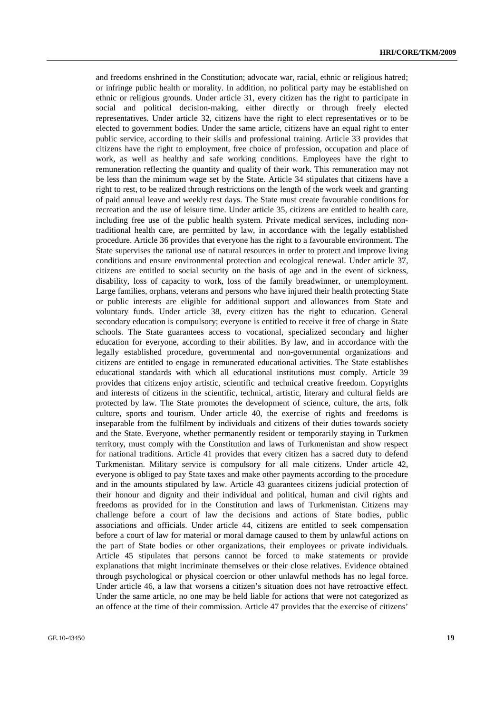and freedoms enshrined in the Constitution; advocate war, racial, ethnic or religious hatred; or infringe public health or morality. In addition, no political party may be established on ethnic or religious grounds. Under article 31, every citizen has the right to participate in social and political decision-making, either directly or through freely elected representatives. Under article 32, citizens have the right to elect representatives or to be elected to government bodies. Under the same article, citizens have an equal right to enter public service, according to their skills and professional training. Article 33 provides that citizens have the right to employment, free choice of profession, occupation and place of work, as well as healthy and safe working conditions. Employees have the right to remuneration reflecting the quantity and quality of their work. This remuneration may not be less than the minimum wage set by the State. Article 34 stipulates that citizens have a right to rest, to be realized through restrictions on the length of the work week and granting of paid annual leave and weekly rest days. The State must create favourable conditions for recreation and the use of leisure time. Under article 35, citizens are entitled to health care, including free use of the public health system. Private medical services, including nontraditional health care, are permitted by law, in accordance with the legally established procedure. Article 36 provides that everyone has the right to a favourable environment. The State supervises the rational use of natural resources in order to protect and improve living conditions and ensure environmental protection and ecological renewal. Under article 37, citizens are entitled to social security on the basis of age and in the event of sickness, disability, loss of capacity to work, loss of the family breadwinner, or unemployment. Large families, orphans, veterans and persons who have injured their health protecting State or public interests are eligible for additional support and allowances from State and voluntary funds. Under article 38, every citizen has the right to education. General secondary education is compulsory; everyone is entitled to receive it free of charge in State schools. The State guarantees access to vocational, specialized secondary and higher education for everyone, according to their abilities. By law, and in accordance with the legally established procedure, governmental and non-governmental organizations and citizens are entitled to engage in remunerated educational activities. The State establishes educational standards with which all educational institutions must comply. Article 39 provides that citizens enjoy artistic, scientific and technical creative freedom. Copyrights and interests of citizens in the scientific, technical, artistic, literary and cultural fields are protected by law. The State promotes the development of science, culture, the arts, folk culture, sports and tourism. Under article 40, the exercise of rights and freedoms is inseparable from the fulfilment by individuals and citizens of their duties towards society and the State. Everyone, whether permanently resident or temporarily staying in Turkmen territory, must comply with the Constitution and laws of Turkmenistan and show respect for national traditions. Article 41 provides that every citizen has a sacred duty to defend Turkmenistan. Military service is compulsory for all male citizens. Under article 42, everyone is obliged to pay State taxes and make other payments according to the procedure and in the amounts stipulated by law. Article 43 guarantees citizens judicial protection of their honour and dignity and their individual and political, human and civil rights and freedoms as provided for in the Constitution and laws of Turkmenistan. Citizens may challenge before a court of law the decisions and actions of State bodies, public associations and officials. Under article 44, citizens are entitled to seek compensation before a court of law for material or moral damage caused to them by unlawful actions on the part of State bodies or other organizations, their employees or private individuals. Article 45 stipulates that persons cannot be forced to make statements or provide explanations that might incriminate themselves or their close relatives. Evidence obtained through psychological or physical coercion or other unlawful methods has no legal force. Under article 46, a law that worsens a citizen's situation does not have retroactive effect. Under the same article, no one may be held liable for actions that were not categorized as an offence at the time of their commission. Article 47 provides that the exercise of citizens'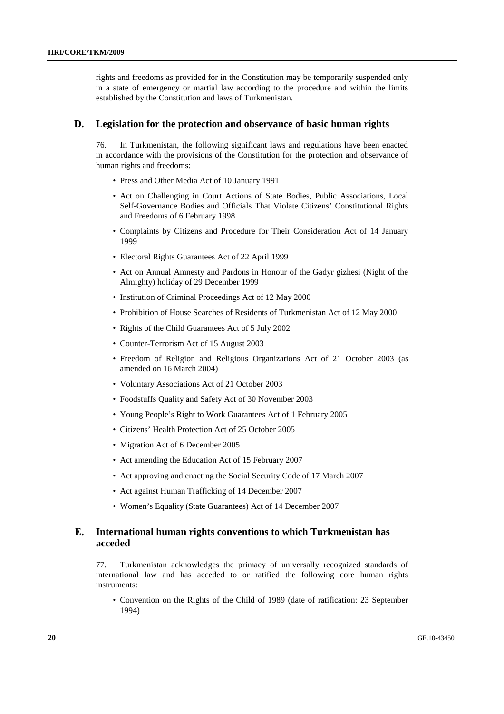rights and freedoms as provided for in the Constitution may be temporarily suspended only in a state of emergency or martial law according to the procedure and within the limits established by the Constitution and laws of Turkmenistan.

#### **D. Legislation for the protection and observance of basic human rights**

76. In Turkmenistan, the following significant laws and regulations have been enacted in accordance with the provisions of the Constitution for the protection and observance of human rights and freedoms:

- Press and Other Media Act of 10 January 1991
- Act on Challenging in Court Actions of State Bodies, Public Associations, Local Self-Governance Bodies and Officials That Violate Citizens' Constitutional Rights and Freedoms of 6 February 1998
- Complaints by Citizens and Procedure for Their Consideration Act of 14 January 1999
- Electoral Rights Guarantees Act of 22 April 1999
- Act on Annual Amnesty and Pardons in Honour of the Gadyr gizhesi (Night of the Almighty) holiday of 29 December 1999
- Institution of Criminal Proceedings Act of 12 May 2000
- Prohibition of House Searches of Residents of Turkmenistan Act of 12 May 2000
- Rights of the Child Guarantees Act of 5 July 2002
- Counter-Terrorism Act of 15 August 2003
- Freedom of Religion and Religious Organizations Act of 21 October 2003 (as amended on 16 March 2004)
- Voluntary Associations Act of 21 October 2003
- Foodstuffs Quality and Safety Act of 30 November 2003
- Young People's Right to Work Guarantees Act of 1 February 2005
- Citizens' Health Protection Act of 25 October 2005
- Migration Act of 6 December 2005
- Act amending the Education Act of 15 February 2007
- Act approving and enacting the Social Security Code of 17 March 2007
- Act against Human Trafficking of 14 December 2007
- Women's Equality (State Guarantees) Act of 14 December 2007

## **Е. International human rights conventions to which Turkmenistan has acceded**

77. Turkmenistan acknowledges the primacy of universally recognized standards of international law and has acceded to or ratified the following core human rights instruments:

• Convention on the Rights of the Child of 1989 (date of ratification: 23 September 1994)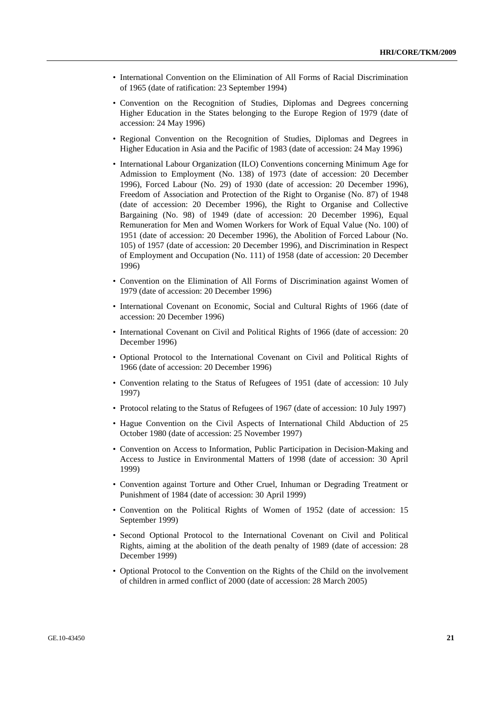- International Convention on the Elimination of All Forms of Racial Discrimination of 1965 (date of ratification: 23 September 1994)
- Convention on the Recognition of Studies, Diplomas and Degrees concerning Higher Education in the States belonging to the Europe Region of 1979 (date of accession: 24 May 1996)
- Regional Convention on the Recognition of Studies, Diplomas and Degrees in Higher Education in Asia and the Pacific of 1983 (date of accession: 24 May 1996)
- International Labour Organization (ILO) Conventions concerning Minimum Age for Admission to Employment (No. 138) of 1973 (date of accession: 20 December 1996), Forced Labour (No. 29) of 1930 (date of accession: 20 December 1996), Freedom of Association and Protection of the Right to Organise (No. 87) of 1948 (date of accession: 20 December 1996), the Right to Organise and Collective Bargaining (No. 98) of 1949 (date of accession: 20 December 1996), Equal Remuneration for Men and Women Workers for Work of Equal Value (No. 100) of 1951 (date of accession: 20 December 1996), the Abolition of Forced Labour (No. 105) of 1957 (date of accession: 20 December 1996), and Discrimination in Respect of Employment and Occupation (No. 111) of 1958 (date of accession: 20 December 1996)
- Convention on the Elimination of All Forms of Discrimination against Women of 1979 (date of accession: 20 December 1996)
- International Covenant on Economic, Social and Cultural Rights of 1966 (date of accession: 20 December 1996)
- International Covenant on Civil and Political Rights of 1966 (date of accession: 20 December 1996)
- Optional Protocol to the International Covenant on Civil and Political Rights of 1966 (date of accession: 20 December 1996)
- Convention relating to the Status of Refugees of 1951 (date of accession: 10 July 1997)
- Protocol relating to the Status of Refugees of 1967 (date of accession: 10 July 1997)
- Hague Convention on the Civil Aspects of International Child Abduction of 25 October 1980 (date of accession: 25 November 1997)
- Convention on Access to Information, Public Participation in Decision-Making and Access to Justice in Environmental Matters of 1998 (date of accession: 30 April 1999)
- Convention against Torture and Other Cruel, Inhuman or Degrading Treatment or Punishment of 1984 (date of accession: 30 April 1999)
- Convention on the Political Rights of Women of 1952 (date of accession: 15 September 1999)
- Second Optional Protocol to the International Covenant on Civil and Political Rights, aiming at the abolition of the death penalty of 1989 (date of accession: 28 December 1999)
- Optional Protocol to the Convention on the Rights of the Child on the involvement of children in armed conflict of 2000 (date of accession: 28 March 2005)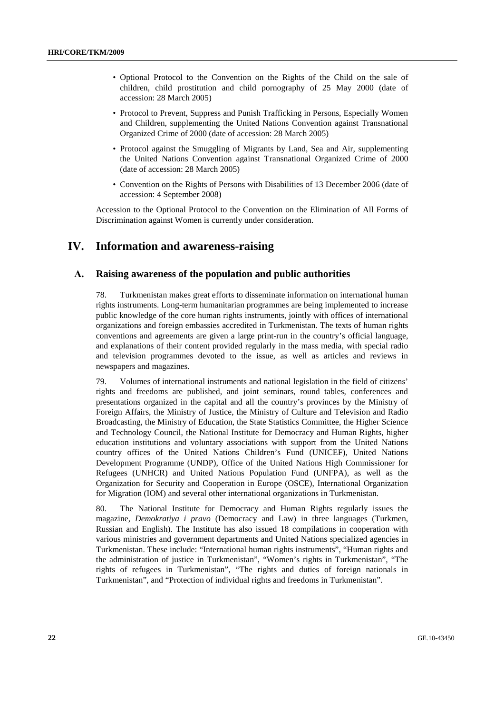- Optional Protocol to the Convention on the Rights of the Child on the sale of children, child prostitution and child pornography of 25 May 2000 (date of accession: 28 March 2005)
- Protocol to Prevent, Suppress and Punish Trafficking in Persons, Especially Women and Children, supplementing the United Nations Convention against Transnational Organized Crime of 2000 (date of accession: 28 March 2005)
- Protocol against the Smuggling of Migrants by Land, Sea and Air, supplementing the United Nations Convention against Transnational Organized Crime of 2000 (date of accession: 28 March 2005)
- Convention on the Rights of Persons with Disabilities of 13 December 2006 (date of accession: 4 September 2008)

Accession to the Optional Protocol to the Convention on the Elimination of All Forms of Discrimination against Women is currently under consideration.

## **IV. Information and awareness-raising**

## **А. Raising awareness of the population and public authorities**

78. Turkmenistan makes great efforts to disseminate information on international human rights instruments. Long-term humanitarian programmes are being implemented to increase public knowledge of the core human rights instruments, jointly with offices of international organizations and foreign embassies accredited in Turkmenistan. The texts of human rights conventions and agreements are given a large print-run in the country's official language, and explanations of their content provided regularly in the mass media, with special radio and television programmes devoted to the issue, as well as articles and reviews in newspapers and magazines.

79. Volumes of international instruments and national legislation in the field of citizens' rights and freedoms are published, and joint seminars, round tables, conferences and presentations organized in the capital and all the country's provinces by the Ministry of Foreign Affairs, the Ministry of Justice, the Ministry of Culture and Television and Radio Broadcasting, the Ministry of Education, the State Statistics Committee, the Higher Science and Technology Council, the National Institute for Democracy and Human Rights, higher education institutions and voluntary associations with support from the United Nations country offices of the United Nations Children's Fund (UNICEF), United Nations Development Programme (UNDP), Office of the United Nations High Commissioner for Refugees (UNHCR) and United Nations Population Fund (UNFPA), as well as the Organization for Security and Cooperation in Europe (OSCE), International Organization for Migration (IOM) and several other international organizations in Turkmenistan.

80. The National Institute for Democracy and Human Rights regularly issues the magazine, *Demokratiya i pravo* (Democracy and Law) in three languages (Turkmen, Russian and English). The Institute has also issued 18 compilations in cooperation with various ministries and government departments and United Nations specialized agencies in Turkmenistan. These include: "International human rights instruments", "Human rights and the administration of justice in Turkmenistan", "Women's rights in Turkmenistan", "The rights of refugees in Turkmenistan", "The rights and duties of foreign nationals in Turkmenistan", and "Protection of individual rights and freedoms in Turkmenistan".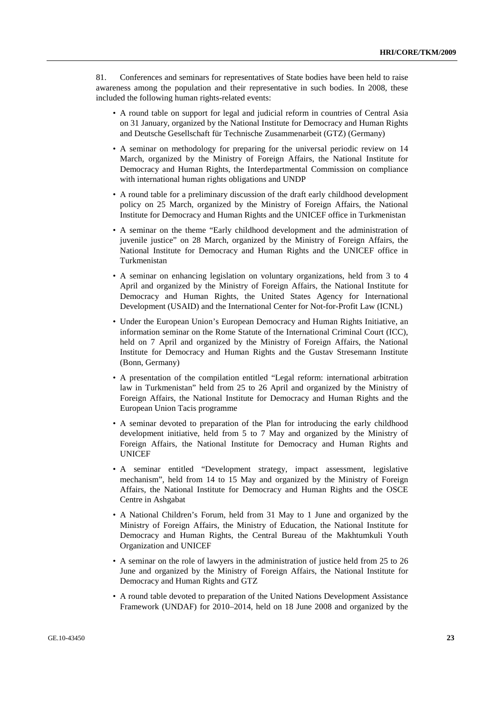81. Conferences and seminars for representatives of State bodies have been held to raise awareness among the population and their representative in such bodies. In 2008, these included the following human rights-related events:

- A round table on support for legal and judicial reform in countries of Central Asia on 31 January, organized by the National Institute for Democracy and Human Rights and Deutsche Gesellschaft für Technische Zusammenarbeit (GTZ) (Germany)
- A seminar on methodology for preparing for the universal periodic review on 14 March, organized by the Ministry of Foreign Affairs, the National Institute for Democracy and Human Rights, the Interdepartmental Commission on compliance with international human rights obligations and UNDP
- A round table for a preliminary discussion of the draft early childhood development policy on 25 March, organized by the Ministry of Foreign Affairs, the National Institute for Democracy and Human Rights and the UNICEF office in Turkmenistan
- A seminar on the theme "Early childhood development and the administration of juvenile justice" on 28 March, organized by the Ministry of Foreign Affairs, the National Institute for Democracy and Human Rights and the UNICEF office in Turkmenistan
- A seminar on enhancing legislation on voluntary organizations, held from 3 to 4 April and organized by the Ministry of Foreign Affairs, the National Institute for Democracy and Human Rights, the United States Agency for International Development (USAID) and the International Center for Not-for-Profit Law (ICNL)
- Under the European Union's European Democracy and Human Rights Initiative, an information seminar on the Rome Statute of the International Criminal Court (ICC), held on 7 April and organized by the Ministry of Foreign Affairs, the National Institute for Democracy and Human Rights and the Gustav Stresemann Institute (Bonn, Germany)
- A presentation of the compilation entitled "Legal reform: international arbitration law in Turkmenistan" held from 25 to 26 April and organized by the Ministry of Foreign Affairs, the National Institute for Democracy and Human Rights and the European Union Tacis programme
- A seminar devoted to preparation of the Plan for introducing the early childhood development initiative, held from 5 to 7 May and organized by the Ministry of Foreign Affairs, the National Institute for Democracy and Human Rights and UNICEF
- A seminar entitled "Development strategy, impact assessment, legislative mechanism", held from 14 to 15 May and organized by the Ministry of Foreign Affairs, the National Institute for Democracy and Human Rights and the OSCE Centre in Ashgabat
- A National Children's Forum, held from 31 May to 1 June and organized by the Ministry of Foreign Affairs, the Ministry of Education, the National Institute for Democracy and Human Rights, the Central Bureau of the Makhtumkuli Youth Organization and UNICEF
- A seminar on the role of lawyers in the administration of justice held from 25 to 26 June and organized by the Ministry of Foreign Affairs, the National Institute for Democracy and Human Rights and GTZ
- A round table devoted to preparation of the United Nations Development Assistance Framework (UNDAF) for 2010–2014, held on 18 June 2008 and organized by the